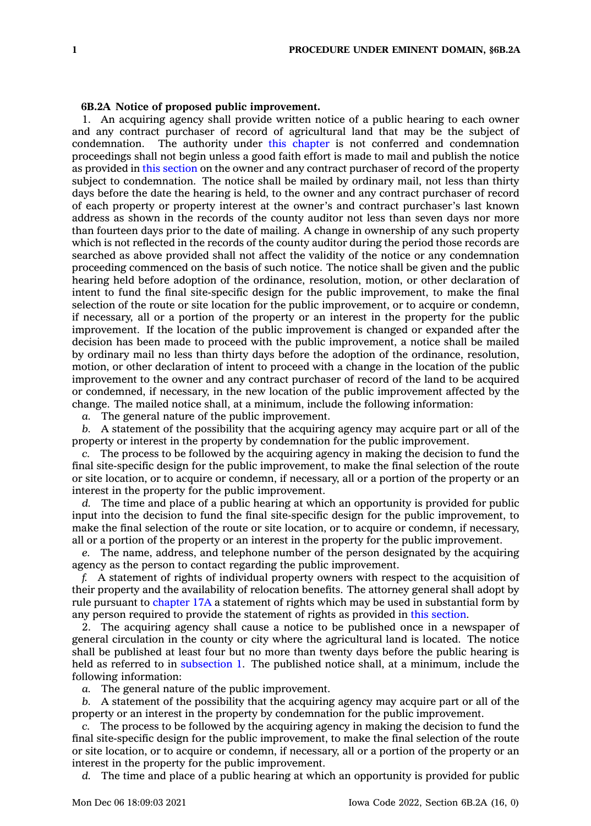## **6B.2A Notice of proposed public improvement.**

1. An acquiring agency shall provide written notice of <sup>a</sup> public hearing to each owner and any contract purchaser of record of agricultural land that may be the subject of condemnation. The authority under this [chapter](https://www.legis.iowa.gov/docs/code//6B.pdf) is not conferred and condemnation proceedings shall not begin unless <sup>a</sup> good faith effort is made to mail and publish the notice as provided in this [section](https://www.legis.iowa.gov/docs/code/6B.2A.pdf) on the owner and any contract purchaser of record of the property subject to condemnation. The notice shall be mailed by ordinary mail, not less than thirty days before the date the hearing is held, to the owner and any contract purchaser of record of each property or property interest at the owner's and contract purchaser's last known address as shown in the records of the county auditor not less than seven days nor more than fourteen days prior to the date of mailing. A change in ownership of any such property which is not reflected in the records of the county auditor during the period those records are searched as above provided shall not affect the validity of the notice or any condemnation proceeding commenced on the basis of such notice. The notice shall be given and the public hearing held before adoption of the ordinance, resolution, motion, or other declaration of intent to fund the final site-specific design for the public improvement, to make the final selection of the route or site location for the public improvement, or to acquire or condemn, if necessary, all or <sup>a</sup> portion of the property or an interest in the property for the public improvement. If the location of the public improvement is changed or expanded after the decision has been made to proceed with the public improvement, <sup>a</sup> notice shall be mailed by ordinary mail no less than thirty days before the adoption of the ordinance, resolution, motion, or other declaration of intent to proceed with <sup>a</sup> change in the location of the public improvement to the owner and any contract purchaser of record of the land to be acquired or condemned, if necessary, in the new location of the public improvement affected by the change. The mailed notice shall, at <sup>a</sup> minimum, include the following information:

*a.* The general nature of the public improvement.

*b.* A statement of the possibility that the acquiring agency may acquire part or all of the property or interest in the property by condemnation for the public improvement.

*c.* The process to be followed by the acquiring agency in making the decision to fund the final site-specific design for the public improvement, to make the final selection of the route or site location, or to acquire or condemn, if necessary, all or <sup>a</sup> portion of the property or an interest in the property for the public improvement.

*d.* The time and place of <sup>a</sup> public hearing at which an opportunity is provided for public input into the decision to fund the final site-specific design for the public improvement, to make the final selection of the route or site location, or to acquire or condemn, if necessary, all or <sup>a</sup> portion of the property or an interest in the property for the public improvement.

*e.* The name, address, and telephone number of the person designated by the acquiring agency as the person to contact regarding the public improvement.

*f.* A statement of rights of individual property owners with respect to the acquisition of their property and the availability of relocation benefits. The attorney general shall adopt by rule pursuant to [chapter](https://www.legis.iowa.gov/docs/code//17A.pdf) 17A <sup>a</sup> statement of rights which may be used in substantial form by any person required to provide the statement of rights as provided in this [section](https://www.legis.iowa.gov/docs/code/6B.2A.pdf).

2. The acquiring agency shall cause <sup>a</sup> notice to be published once in <sup>a</sup> newspaper of general circulation in the county or city where the agricultural land is located. The notice shall be published at least four but no more than twenty days before the public hearing is held as referred to in [subsection](https://www.legis.iowa.gov/docs/code/6B.2A.pdf) 1. The published notice shall, at <sup>a</sup> minimum, include the following information:

*a.* The general nature of the public improvement.

*b.* A statement of the possibility that the acquiring agency may acquire part or all of the property or an interest in the property by condemnation for the public improvement.

*c.* The process to be followed by the acquiring agency in making the decision to fund the final site-specific design for the public improvement, to make the final selection of the route or site location, or to acquire or condemn, if necessary, all or <sup>a</sup> portion of the property or an interest in the property for the public improvement.

*d.* The time and place of <sup>a</sup> public hearing at which an opportunity is provided for public